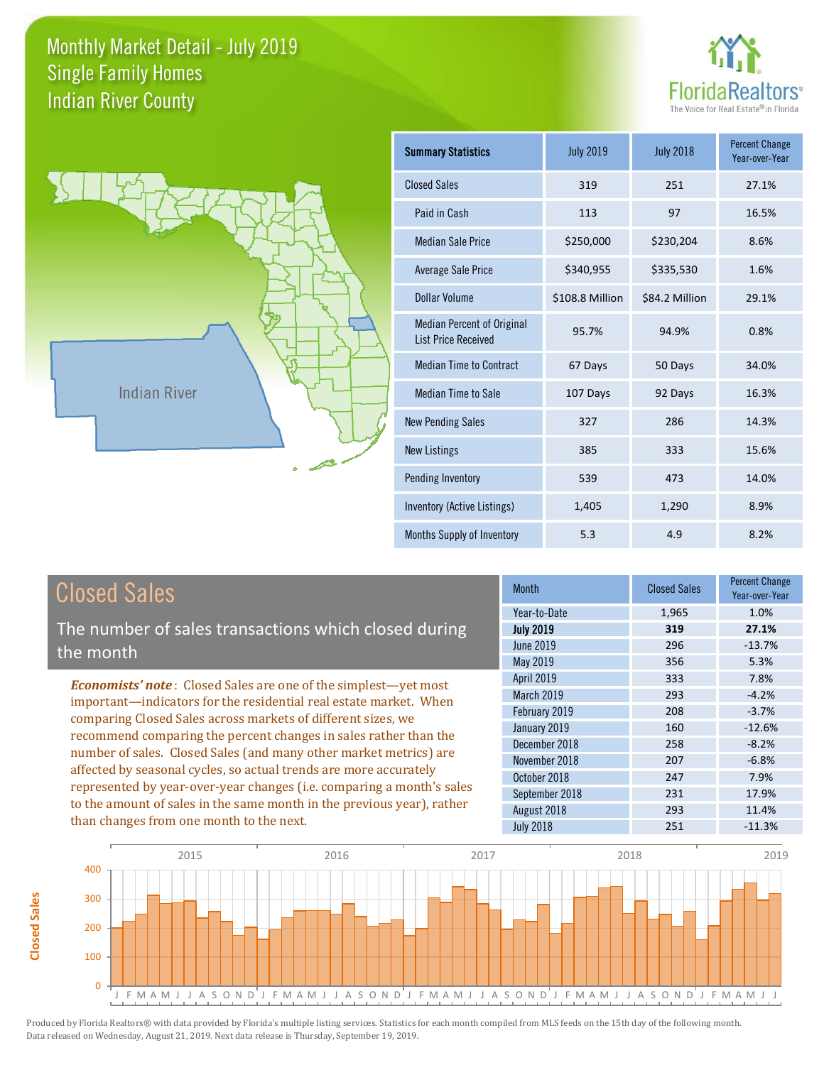



**Closed Sales**

**Closed Sales** 

| <b>Summary Statistics</b>                                       | <b>July 2019</b> | <b>July 2018</b> | <b>Percent Change</b><br>Year-over-Year |
|-----------------------------------------------------------------|------------------|------------------|-----------------------------------------|
| <b>Closed Sales</b>                                             | 319              | 251              | 27.1%                                   |
| Paid in Cash                                                    | 113              | 97               | 16.5%                                   |
| <b>Median Sale Price</b>                                        | \$250,000        | \$230,204        | 8.6%                                    |
| <b>Average Sale Price</b>                                       | \$340,955        | \$335,530        | 1.6%                                    |
| Dollar Volume                                                   | \$108.8 Million  | \$84.2 Million   | 29.1%                                   |
| <b>Median Percent of Original</b><br><b>List Price Received</b> | 95.7%            | 94.9%            | 0.8%                                    |
| <b>Median Time to Contract</b>                                  | 67 Days          | 50 Days          | 34.0%                                   |
| <b>Median Time to Sale</b>                                      | 107 Days         | 92 Days          | 16.3%                                   |
| <b>New Pending Sales</b>                                        | 327              | 286              | 14.3%                                   |
| <b>New Listings</b>                                             | 385              | 333              | 15.6%                                   |
| Pending Inventory                                               | 539              | 473              | 14.0%                                   |
| Inventory (Active Listings)                                     | 1,405            | 1,290            | 8.9%                                    |
| Months Supply of Inventory                                      | 5.3              | 4.9              | 8.2%                                    |

| <b>Closed Sales</b>                                                    | <b>Month</b>      | <b>Closed Sales</b> | <b>Percent Change</b><br>Year-over-Year |
|------------------------------------------------------------------------|-------------------|---------------------|-----------------------------------------|
|                                                                        | Year-to-Date      | 1,965               | 1.0%                                    |
| The number of sales transactions which closed during                   | <b>July 2019</b>  | 319                 | 27.1%                                   |
| the month                                                              | June 2019         | 296                 | $-13.7%$                                |
|                                                                        | May 2019          | 356                 | 5.3%                                    |
| <b>Economists' note:</b> Closed Sales are one of the simplest—yet most | <b>April 2019</b> | 333                 | 7.8%                                    |
| important-indicators for the residential real estate market. When      | March 2019        | 293                 | $-4.2%$                                 |
| comparing Closed Sales across markets of different sizes, we           | February 2019     | 208                 | $-3.7%$                                 |
|                                                                        | January 2019      | 160                 | $-12.6%$                                |
| recommend comparing the percent changes in sales rather than the       | December 2018     | 258                 | $-8.2%$                                 |
| number of sales. Closed Sales (and many other market metrics) are      | November 2018     | 207                 | $-6.8%$                                 |
| affected by seasonal cycles, so actual trends are more accurately      | October 2018      | 247                 | 7.9%                                    |
| represented by year-over-year changes (i.e. comparing a month's sales  | September 2018    | 231                 | 17.9%                                   |
| to the amount of sales in the same month in the previous year), rather | August 2018       | 293                 | 11.4%                                   |
| than changes from one month to the next.                               | <b>July 2018</b>  | 251                 | $-11.3%$                                |
| 2015<br>2016<br>2017                                                   | 2018              |                     | 2019                                    |

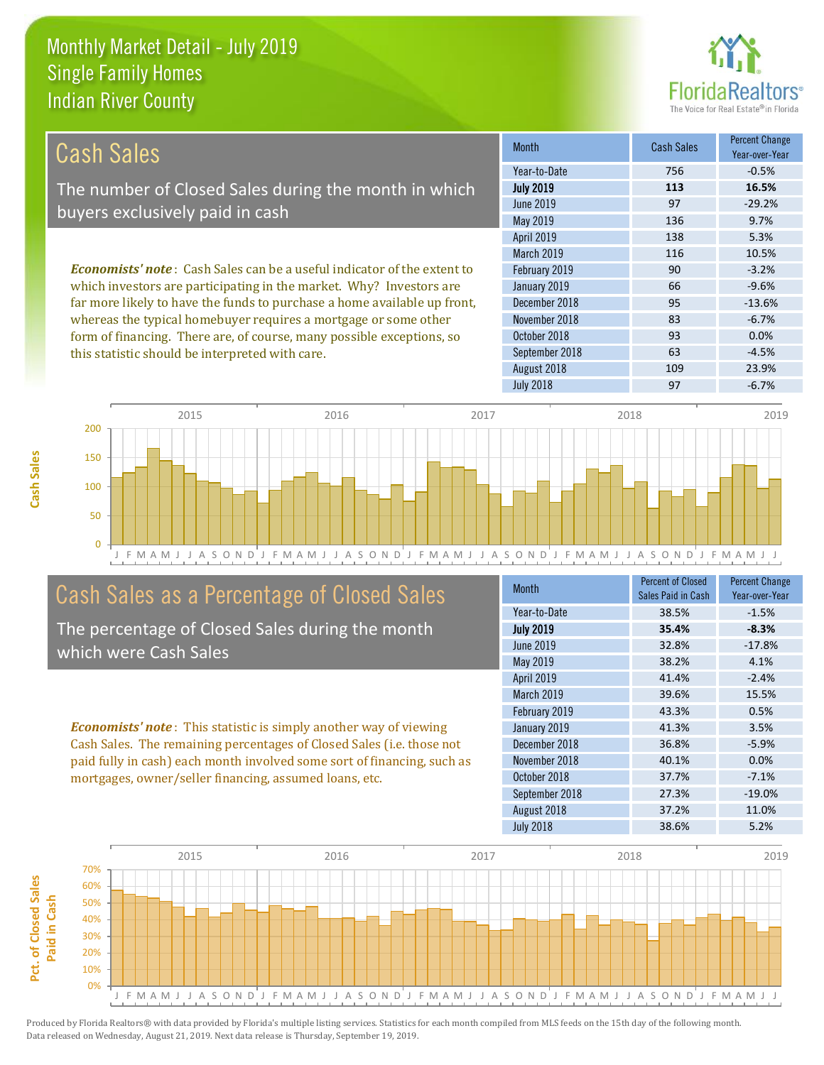this statistic should be interpreted with care.



63 -4.5%

| <b>Cash Sales</b>                                                              | <b>Month</b>      | Cash Sales | <b>Percent Change</b><br>Year-over-Year |
|--------------------------------------------------------------------------------|-------------------|------------|-----------------------------------------|
|                                                                                | Year-to-Date      | 756        | $-0.5%$                                 |
| The number of Closed Sales during the month in which                           | <b>July 2019</b>  | 113        | 16.5%                                   |
| buyers exclusively paid in cash                                                | June 2019         | 97         | $-29.2%$                                |
|                                                                                | May 2019          | 136        | 9.7%                                    |
|                                                                                | <b>April 2019</b> | 138        | 5.3%                                    |
|                                                                                | <b>March 2019</b> | 116        | 10.5%                                   |
| <b>Economists' note:</b> Cash Sales can be a useful indicator of the extent to | February 2019     | 90         | $-3.2%$                                 |
| which investors are participating in the market. Why? Investors are            | January 2019      | 66         | $-9.6%$                                 |
| far more likely to have the funds to purchase a home available up front,       | December 2018     | 95         | $-13.6%$                                |
| whereas the typical homebuyer requires a mortgage or some other                | November 2018     | 83         | $-6.7%$                                 |
| form of financing. There are, of course, many possible exceptions, so          | October 2018      | 93         | 0.0%                                    |

September 2018



## Cash Sales as a Percentage of Closed Sales

The percentage of Closed Sales during the month which were Cash Sales

*Economists' note* : This statistic is simply another way of viewing Cash Sales. The remaining percentages of Closed Sales (i.e. those not paid fully in cash) each month involved some sort of financing, such as mortgages, owner/seller financing, assumed loans, etc.

| Month            | <b>Percent of Closed</b><br>Sales Paid in Cash | <b>Percent Change</b><br>Year-over-Year |
|------------------|------------------------------------------------|-----------------------------------------|
| Year-to-Date     | 38.5%                                          | $-1.5%$                                 |
| <b>July 2019</b> | 35.4%                                          | $-8.3%$                                 |
| <b>June 2019</b> | 32.8%                                          | $-17.8%$                                |
| May 2019         | 38.2%                                          | 4.1%                                    |
| April 2019       | 41.4%                                          | $-2.4%$                                 |
| March 2019       | 39.6%                                          | 15.5%                                   |
| February 2019    | 43.3%                                          | 0.5%                                    |
| January 2019     | 41.3%                                          | 3.5%                                    |
| December 2018    | 36.8%                                          | $-5.9%$                                 |
| November 2018    | 40.1%                                          | 0.0%                                    |
| October 2018     | 37.7%                                          | $-7.1%$                                 |
| September 2018   | 27.3%                                          | $-19.0%$                                |
| August 2018      | 37.2%                                          | 11.0%                                   |
| <b>July 2018</b> | 38.6%                                          | 5.2%                                    |

August 2018 109 109 23.9%



Produced by Florida Realtors® with data provided by Florida's multiple listing services. Statistics for each month compiled from MLS feeds on the 15th day of the following month. Data released on Wednesday, August 21, 2019. Next data release is Thursday, September 19, 2019.

Pct. of Closed Sales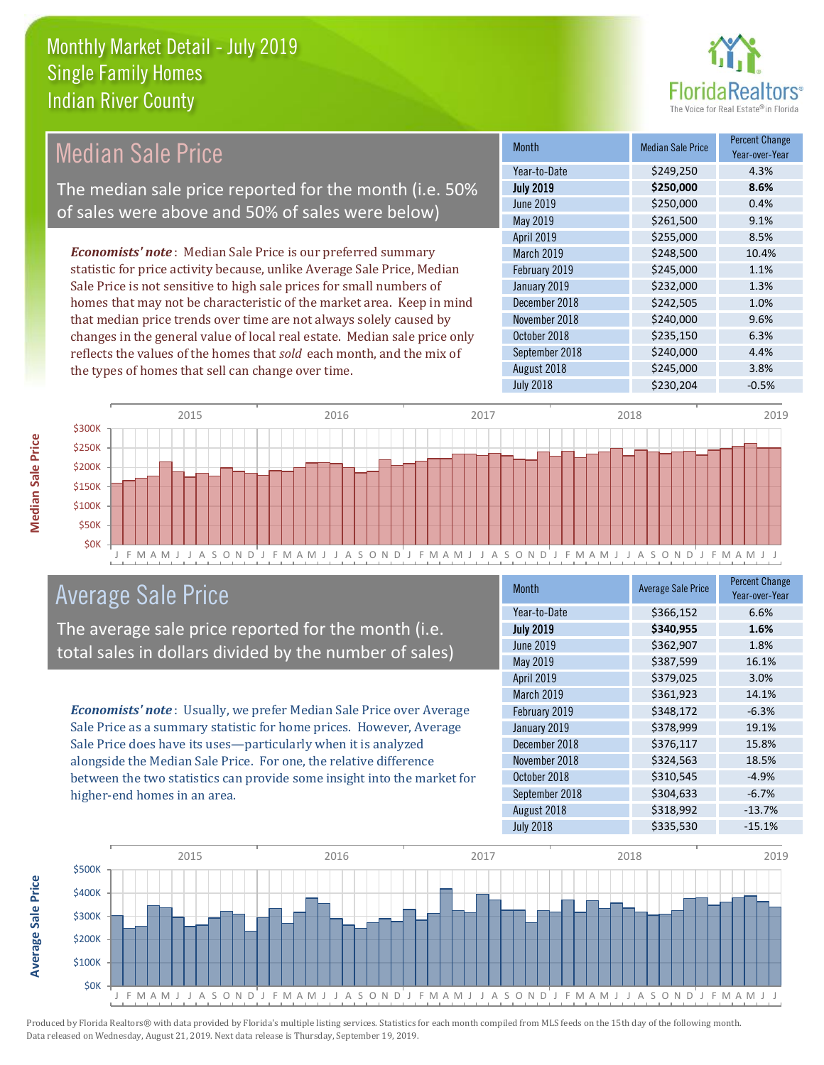

#### Month Median Sale Price Percent Change Year-over-Year July 2019 **\$250,000 8.6%** Year-to-Date \$249,250 4.3% December 2018 \$242,505 1.0% June 2019 **\$250,000 0.4%** May 2019 **\$261,500** \$261,500 9.1% February 2019 **\$245,000** \$245,000 1.1% January 2019 **\$232,000** \$234,000 April 2019 \$255,000 \$255,000 March 2019 **\$248,500** \$248,500 10.4% November 2018 **\$240,000** 9.6% October 2018 **\$235,150** 6.3% September 2018 **\$240,000** 4.4% August 2018 **\$245,000** 3.8% July 2018 **\$230,204** -0.5% *Economists' note* : Median Sale Price is our preferred summary statistic for price activity because, unlike Average Sale Price, Median Sale Price is not sensitive to high sale prices for small numbers of homes that may not be characteristic of the market area. Keep in mind that median price trends over time are not always solely caused by changes in the general value of local real estate. Median sale price only reflects the values of the homes that *sold* each month, and the mix of the types of homes that sell can change over time. Median Sale Price The median sale price reported for the month (i.e. 50% of sales were above and 50% of sales were below)



### Average Sale Price

The average sale price reported for the month (i.e. total sales in dollars divided by the number of sales)

*Economists' note* : Usually, we prefer Median Sale Price over Average Sale Price as a summary statistic for home prices. However, Average Sale Price does have its uses—particularly when it is analyzed alongside the Median Sale Price. For one, the relative difference between the two statistics can provide some insight into the market for higher-end homes in an area.

| <b>Month</b>     | <b>Average Sale Price</b> | <b>Percent Change</b><br>Year-over-Year |
|------------------|---------------------------|-----------------------------------------|
| Year-to-Date     | \$366,152                 | 6.6%                                    |
| <b>July 2019</b> | \$340,955                 | 1.6%                                    |
| <b>June 2019</b> | \$362,907                 | 1.8%                                    |
| May 2019         | \$387,599                 | 16.1%                                   |
| April 2019       | \$379,025                 | 3.0%                                    |
| March 2019       | \$361,923                 | 14.1%                                   |
| February 2019    | \$348,172                 | $-6.3%$                                 |
| January 2019     | \$378,999                 | 19.1%                                   |
| December 2018    | \$376,117                 | 15.8%                                   |
| November 2018    | \$324,563                 | 18.5%                                   |
| October 2018     | \$310,545                 | $-4.9%$                                 |
| September 2018   | \$304,633                 | $-6.7%$                                 |
| August 2018      | \$318,992                 | $-13.7%$                                |
| <b>July 2018</b> | \$335,530                 | $-15.1%$                                |



**Average Sale Price**

**Average Sale Price**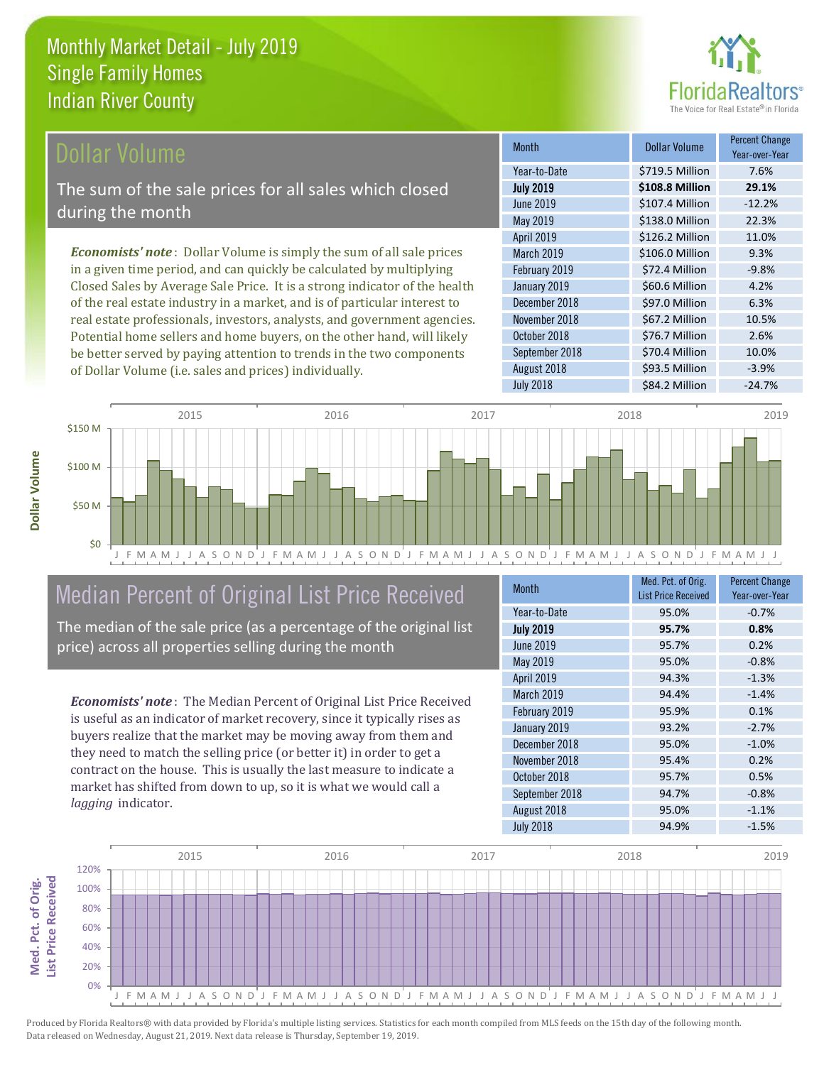

#### **Ollar Volume**

The sum of the sale prices for all sales which closed during the month

*Economists' note* : Dollar Volume is simply the sum of all sale prices in a given time period, and can quickly be calculated by multiplying Closed Sales by Average Sale Price. It is a strong indicator of the health of the real estate industry in a market, and is of particular interest to real estate professionals, investors, analysts, and government agencies. Potential home sellers and home buyers, on the other hand, will likely be better served by paying attention to trends in the two components of Dollar Volume (i.e. sales and prices) individually.

| <b>Month</b>      | Dollar Volume   | <b>Percent Change</b><br>Year-over-Year |
|-------------------|-----------------|-----------------------------------------|
| Year-to-Date      | \$719.5 Million | 7.6%                                    |
| <b>July 2019</b>  | \$108.8 Million | 29.1%                                   |
| <b>June 2019</b>  | \$107.4 Million | $-12.2%$                                |
| May 2019          | \$138.0 Million | 22.3%                                   |
| <b>April 2019</b> | \$126.2 Million | 11.0%                                   |
| March 2019        | \$106.0 Million | 9.3%                                    |
| February 2019     | \$72.4 Million  | $-9.8%$                                 |
| January 2019      | \$60.6 Million  | 4.2%                                    |
| December 2018     | \$97.0 Million  | 6.3%                                    |
| November 2018     | \$67.2 Million  | 10.5%                                   |
| October 2018      | \$76.7 Million  | 2.6%                                    |
| September 2018    | \$70.4 Million  | 10.0%                                   |
| August 2018       | \$93.5 Million  | $-3.9%$                                 |
| <b>July 2018</b>  | \$84.2 Million  | $-24.7%$                                |



# Median Percent of Original List Price Received

The median of the sale price (as a percentage of the original list price) across all properties selling during the month

*Economists' note* : The Median Percent of Original List Price Received is useful as an indicator of market recovery, since it typically rises as buyers realize that the market may be moving away from them and they need to match the selling price (or better it) in order to get a contract on the house. This is usually the last measure to indicate a market has shifted from down to up, so it is what we would call a *lagging* indicator.

| <b>Month</b>     | Med. Pct. of Orig.<br><b>List Price Received</b> | <b>Percent Change</b><br>Year-over-Year |
|------------------|--------------------------------------------------|-----------------------------------------|
| Year-to-Date     | 95.0%                                            | $-0.7%$                                 |
| <b>July 2019</b> | 95.7%                                            | 0.8%                                    |
| <b>June 2019</b> | 95.7%                                            | 0.2%                                    |
| May 2019         | 95.0%                                            | $-0.8%$                                 |
| April 2019       | 94.3%                                            | $-1.3%$                                 |
| March 2019       | 94.4%                                            | $-1.4%$                                 |
| February 2019    | 95.9%                                            | 0.1%                                    |
| January 2019     | 93.2%                                            | $-2.7%$                                 |
| December 2018    | 95.0%                                            | $-1.0%$                                 |
| November 2018    | 95.4%                                            | 0.2%                                    |
| October 2018     | 95.7%                                            | 0.5%                                    |
| September 2018   | 94.7%                                            | $-0.8%$                                 |
| August 2018      | 95.0%                                            | $-1.1%$                                 |
| <b>July 2018</b> | 94.9%                                            | $-1.5%$                                 |

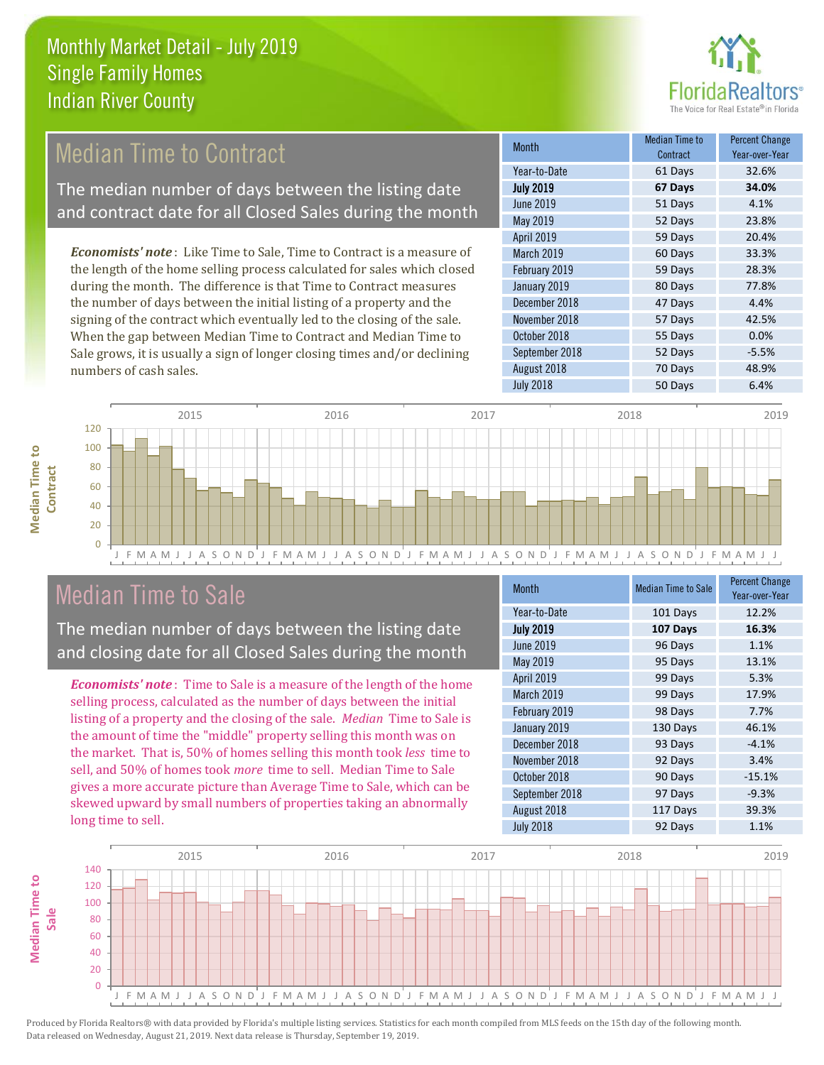

## **Median Time to Contract**

The median number of days between the listing date and contract date for all Closed Sales during the month

*Economists' note* : Like Time to Sale, Time to Contract is a measure of the length of the home selling process calculated for sales which closed during the month. The difference is that Time to Contract measures the number of days between the initial listing of a property and the signing of the contract which eventually led to the closing of the sale. When the gap between Median Time to Contract and Median Time to Sale grows, it is usually a sign of longer closing times and/or declining numbers of cash sales.

| <b>Month</b>     | Median Time to<br>Contract | <b>Percent Change</b><br>Year-over-Year |
|------------------|----------------------------|-----------------------------------------|
| Year-to-Date     | 61 Days                    | 32.6%                                   |
| <b>July 2019</b> | 67 Days                    | 34.0%                                   |
| <b>June 2019</b> | 51 Days                    | 4.1%                                    |
| May 2019         | 52 Days                    | 23.8%                                   |
| April 2019       | 59 Days                    | 20.4%                                   |
| March 2019       | 60 Days                    | 33.3%                                   |
| February 2019    | 59 Days                    | 28.3%                                   |
| January 2019     | 80 Days                    | 77.8%                                   |
| December 2018    | 47 Days                    | 4.4%                                    |
| November 2018    | 57 Days                    | 42.5%                                   |
| October 2018     | 55 Days                    | 0.0%                                    |
| September 2018   | 52 Days                    | $-5.5%$                                 |
| August 2018      | 70 Days                    | 48.9%                                   |
| <b>July 2018</b> | 50 Days                    | 6.4%                                    |



#### Median Time to Sale

**Median Time to** 

**Median Time to** 

The median number of days between the listing date and closing date for all Closed Sales during the month

*Economists' note* : Time to Sale is a measure of the length of the home selling process, calculated as the number of days between the initial listing of a property and the closing of the sale. *Median* Time to Sale is the amount of time the "middle" property selling this month was on the market. That is, 50% of homes selling this month took *less* time to sell, and 50% of homes took *more* time to sell. Median Time to Sale gives a more accurate picture than Average Time to Sale, which can be skewed upward by small numbers of properties taking an abnormally long time to sell.

| <b>Month</b>     | <b>Median Time to Sale</b> | <b>Percent Change</b><br>Year-over-Year |
|------------------|----------------------------|-----------------------------------------|
| Year-to-Date     | 101 Days                   | 12.2%                                   |
| <b>July 2019</b> | 107 Days                   | 16.3%                                   |
| <b>June 2019</b> | 96 Days                    | 1.1%                                    |
| May 2019         | 95 Days                    | 13.1%                                   |
| April 2019       | 99 Days                    | 5.3%                                    |
| March 2019       | 99 Days                    | 17.9%                                   |
| February 2019    | 98 Days                    | 7.7%                                    |
| January 2019     | 130 Days                   | 46.1%                                   |
| December 2018    | 93 Days                    | $-4.1%$                                 |
| November 2018    | 92 Days                    | 3.4%                                    |
| October 2018     | 90 Days                    | $-15.1%$                                |
| September 2018   | 97 Days                    | $-9.3%$                                 |
| August 2018      | 117 Days                   | 39.3%                                   |
| <b>July 2018</b> | 92 Days                    | 1.1%                                    |

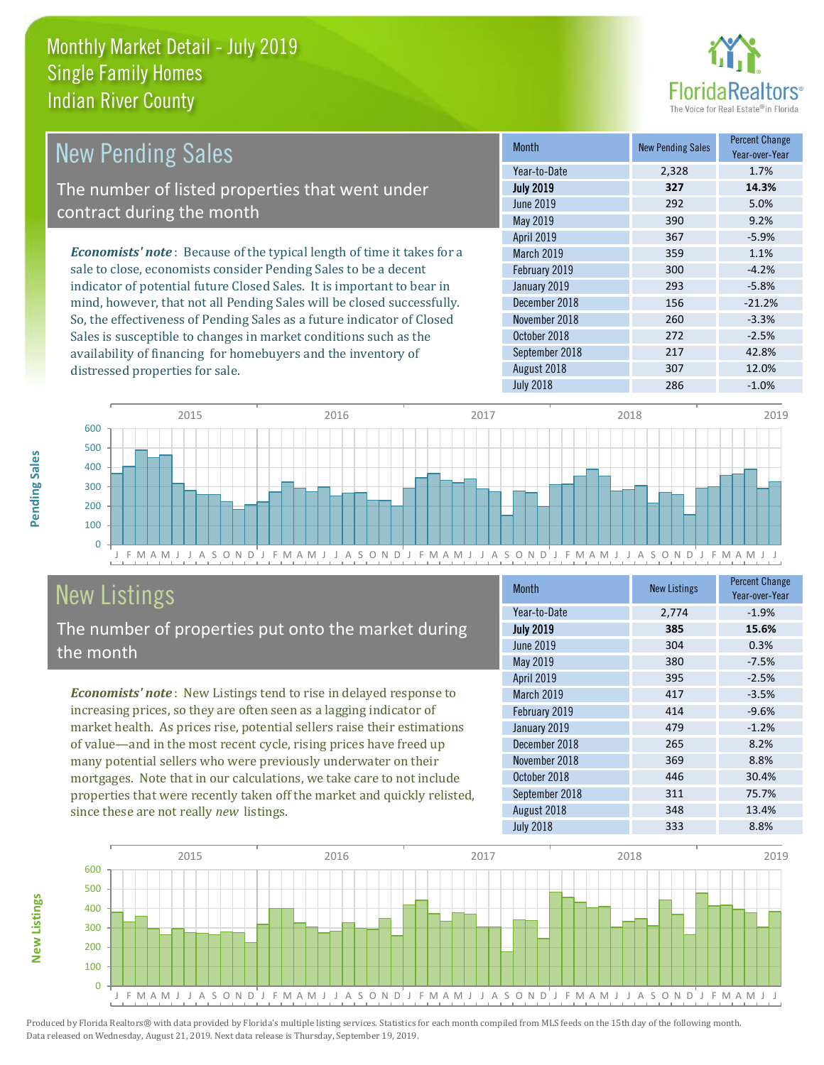distressed properties for sale.



| <b>New Pending Sales</b>                                                       | <b>Month</b>      | <b>New Pending Sales</b> | <b>Percent Change</b><br>Year-over-Year |
|--------------------------------------------------------------------------------|-------------------|--------------------------|-----------------------------------------|
|                                                                                | Year-to-Date      | 2,328                    | 1.7%                                    |
| The number of listed properties that went under                                | <b>July 2019</b>  | 327                      | 14.3%                                   |
| contract during the month                                                      | June 2019         | 292                      | 5.0%                                    |
|                                                                                | May 2019          | 390                      | 9.2%                                    |
|                                                                                | <b>April 2019</b> | 367                      | $-5.9%$                                 |
| <b>Economists' note</b> : Because of the typical length of time it takes for a | <b>March 2019</b> | 359                      | 1.1%                                    |
| sale to close, economists consider Pending Sales to be a decent                | February 2019     | 300                      | $-4.2%$                                 |
| indicator of potential future Closed Sales. It is important to bear in         | January 2019      | 293                      | $-5.8%$                                 |
| mind, however, that not all Pending Sales will be closed successfully.         | December 2018     | 156                      | $-21.2%$                                |
| So, the effectiveness of Pending Sales as a future indicator of Closed         | November 2018     | 260                      | $-3.3%$                                 |
| Sales is susceptible to changes in market conditions such as the               | October 2018      | 272                      | $-2.5%$                                 |



# New Listings

The number of properties put onto the market during the month

availability of financing for homebuyers and the inventory of

*Economists' note* : New Listings tend to rise in delayed response to increasing prices, so they are often seen as a lagging indicator of market health. As prices rise, potential sellers raise their estimations of value—and in the most recent cycle, rising prices have freed up many potential sellers who were previously underwater on their mortgages. Note that in our calculations, we take care to not include properties that were recently taken off the market and quickly relisted, since these are not really *new* listings.

| <b>Month</b>      | <b>New Listings</b> | <b>Percent Change</b><br>Year-over-Year |
|-------------------|---------------------|-----------------------------------------|
| Year-to-Date      | 2,774               | $-1.9%$                                 |
| <b>July 2019</b>  | 385                 | 15.6%                                   |
| <b>June 2019</b>  | 304                 | 0.3%                                    |
| <b>May 2019</b>   | 380                 | $-7.5%$                                 |
| April 2019        | 395                 | $-2.5%$                                 |
| <b>March 2019</b> | 417                 | $-3.5%$                                 |
| February 2019     | 414                 | $-9.6%$                                 |
| January 2019      | 479                 | $-1.2%$                                 |
| December 2018     | 265                 | 8.2%                                    |
| November 2018     | 369                 | 8.8%                                    |
| October 2018      | 446                 | 30.4%                                   |
| September 2018    | 311                 | 75.7%                                   |
| August 2018       | 348                 | 13.4%                                   |
| <b>July 2018</b>  | 333                 | 8.8%                                    |

September 2018 217 42.8% August 2018 **307** 12.0% July 2018 **286** -1.0%



Produced by Florida Realtors® with data provided by Florida's multiple listing services. Statistics for each month compiled from MLS feeds on the 15th day of the following month. Data released on Wednesday, August 21, 2019. Next data release is Thursday, September 19, 2019.

**New Listings**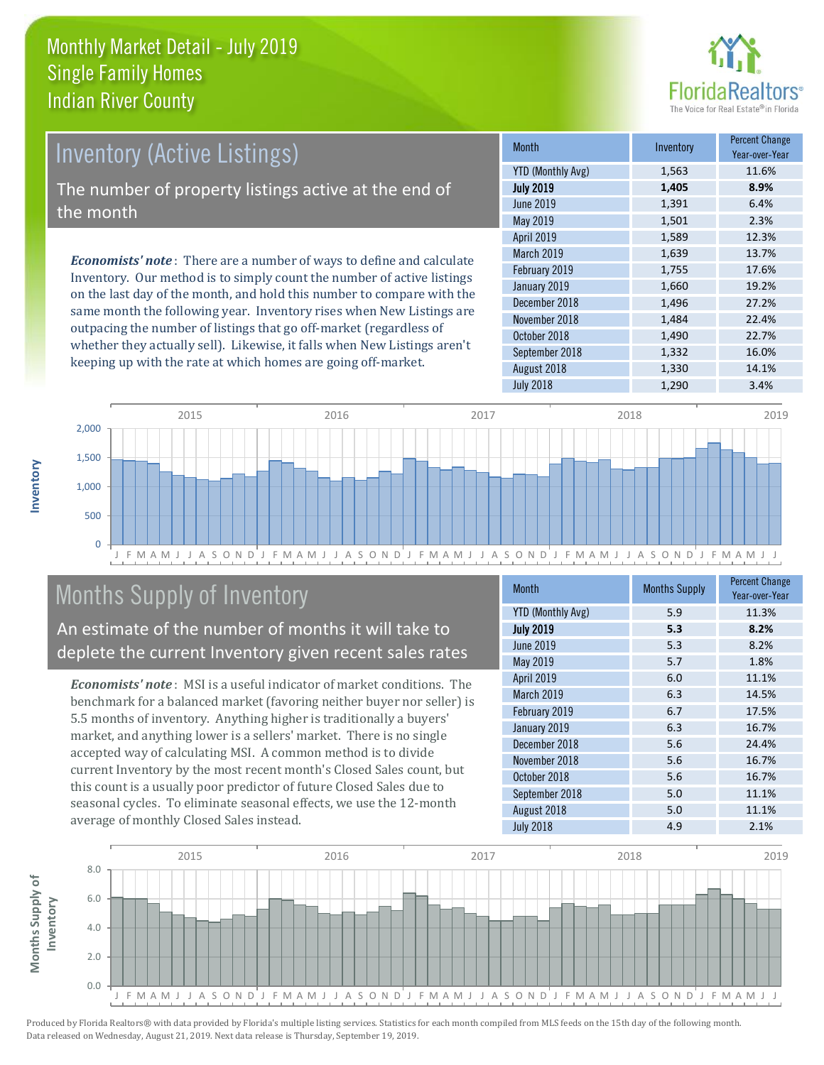

# Inventory (Active Listings)

The number of property listings active at the end of the month

*Economists' note* : There are a number of ways to define and calculate Inventory. Our method is to simply count the number of active listings on the last day of the month, and hold this number to compare with the same month the following year. Inventory rises when New Listings are outpacing the number of listings that go off-market (regardless of whether they actually sell). Likewise, it falls when New Listings aren't keeping up with the rate at which homes are going off-market.

| <b>Month</b>             | Inventory | <b>Percent Change</b><br>Year-over-Year |
|--------------------------|-----------|-----------------------------------------|
| <b>YTD (Monthly Avg)</b> | 1,563     | 11.6%                                   |
| <b>July 2019</b>         | 1,405     | 8.9%                                    |
| <b>June 2019</b>         | 1,391     | 6.4%                                    |
| May 2019                 | 1,501     | 2.3%                                    |
| April 2019               | 1,589     | 12.3%                                   |
| March 2019               | 1,639     | 13.7%                                   |
| February 2019            | 1,755     | 17.6%                                   |
| January 2019             | 1,660     | 19.2%                                   |
| December 2018            | 1,496     | 27.2%                                   |
| November 2018            | 1,484     | 22.4%                                   |
| October 2018             | 1,490     | 22.7%                                   |
| September 2018           | 1,332     | 16.0%                                   |
| August 2018              | 1,330     | 14.1%                                   |
| <b>July 2018</b>         | 1,290     | 3.4%                                    |



# Months Supply of Inventory

An estimate of the number of months it will take to deplete the current Inventory given recent sales rates

*Economists' note* : MSI is a useful indicator of market conditions. The benchmark for a balanced market (favoring neither buyer nor seller) is 5.5 months of inventory. Anything higher is traditionally a buyers' market, and anything lower is a sellers' market. There is no single accepted way of calculating MSI. A common method is to divide current Inventory by the most recent month's Closed Sales count, but this count is a usually poor predictor of future Closed Sales due to seasonal cycles. To eliminate seasonal effects, we use the 12-month average of monthly Closed Sales instead.

| <b>Month</b>             | <b>Months Supply</b> | <b>Percent Change</b><br>Year-over-Year |
|--------------------------|----------------------|-----------------------------------------|
| <b>YTD (Monthly Avg)</b> | 5.9                  | 11.3%                                   |
| <b>July 2019</b>         | 5.3                  | 8.2%                                    |
| <b>June 2019</b>         | 5.3                  | 8.2%                                    |
| May 2019                 | 5.7                  | 1.8%                                    |
| April 2019               | 6.0                  | 11.1%                                   |
| March 2019               | 6.3                  | 14.5%                                   |
| February 2019            | 6.7                  | 17.5%                                   |
| January 2019             | 6.3                  | 16.7%                                   |
| December 2018            | 5.6                  | 24.4%                                   |
| November 2018            | 5.6                  | 16.7%                                   |
| October 2018             | 5.6                  | 16.7%                                   |
| September 2018           | 5.0                  | 11.1%                                   |
| August 2018              | 5.0                  | 11.1%                                   |
| <b>July 2018</b>         | 4.9                  | 2.1%                                    |

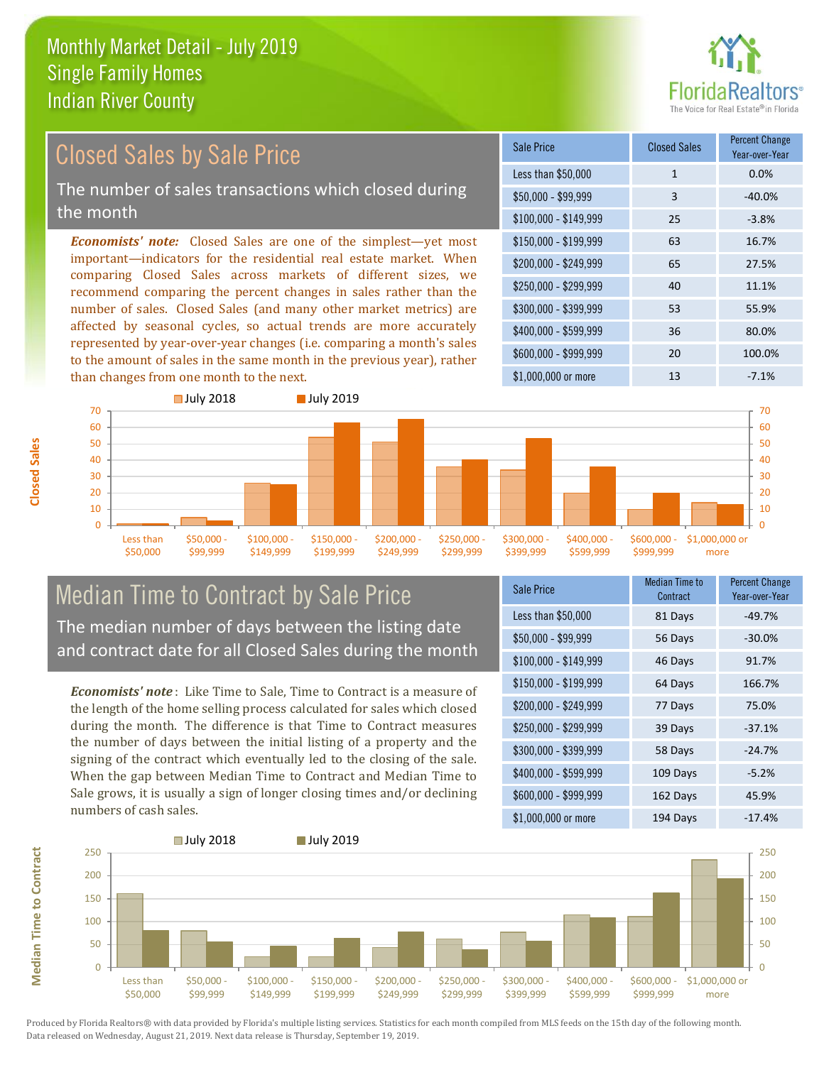

#### *Economists' note:* Closed Sales are one of the simplest—yet most important—indicators for the residential real estate market. When comparing Closed Sales across markets of different sizes, we recommend comparing the percent changes in sales rather than the number of sales. Closed Sales (and many other market metrics) are affected by seasonal cycles, so actual trends are more accurately represented by year-over-year changes (i.e. comparing a month's sales to the amount of sales in the same month in the previous year), rather than changes from one month to the next. \$1,000,000 or more 13 13 -7.1% \$250,000 - \$299,999 40 11.1% \$300,000 - \$399,999 53 55.9% \$400,000 - \$599,999 36 80.0% \$600,000 - \$999,999 20 100.0% \$150,000 - \$199,999 63 16.7% \$200,000 - \$249,999 65 27.5%  $$100,000 - $149,999$  25 -3.8% Sale Price Closed Sales Percent Change Year-over-Year Less than \$50,000 1 1 0.0%  $$50.000 - $99.999$  3  $-40.0\%$ 70 **July 2018 July 2019** 70 Closed Sales by Sale Price The number of sales transactions which closed during the month



#### Median Time to Contract by Sale Price The median number of days between the listing date and contract date for all Closed Sales during the month

*Economists' note* : Like Time to Sale, Time to Contract is a measure of the length of the home selling process calculated for sales which closed during the month. The difference is that Time to Contract measures the number of days between the initial listing of a property and the signing of the contract which eventually led to the closing of the sale. When the gap between Median Time to Contract and Median Time to Sale grows, it is usually a sign of longer closing times and/or declining numbers of cash sales.

| <b>Sale Price</b>     | Median Time to<br>Contract | <b>Percent Change</b><br>Year-over-Year |
|-----------------------|----------------------------|-----------------------------------------|
| Less than \$50,000    | 81 Days                    | $-49.7%$                                |
| $$50,000 - $99,999$   | 56 Days                    | $-30.0%$                                |
| $$100,000 - $149,999$ | 46 Days                    | 91.7%                                   |
| $$150,000 - $199,999$ | 64 Days                    | 166.7%                                  |
| \$200,000 - \$249,999 | 77 Days                    | 75.0%                                   |
| \$250,000 - \$299,999 | 39 Days                    | $-37.1%$                                |
| \$300,000 - \$399,999 | 58 Days                    | $-24.7%$                                |
| \$400,000 - \$599,999 | 109 Days                   | $-5.2%$                                 |
| \$600,000 - \$999,999 | 162 Days                   | 45.9%                                   |
| \$1,000,000 or more   | 194 Days                   | $-17.4%$                                |



Produced by Florida Realtors® with data provided by Florida's multiple listing services. Statistics for each month compiled from MLS feeds on the 15th day of the following month. Data released on Wednesday, August 21, 2019. Next data release is Thursday, September 19, 2019.

**Median Time to Contract**

**Median Time to Contract**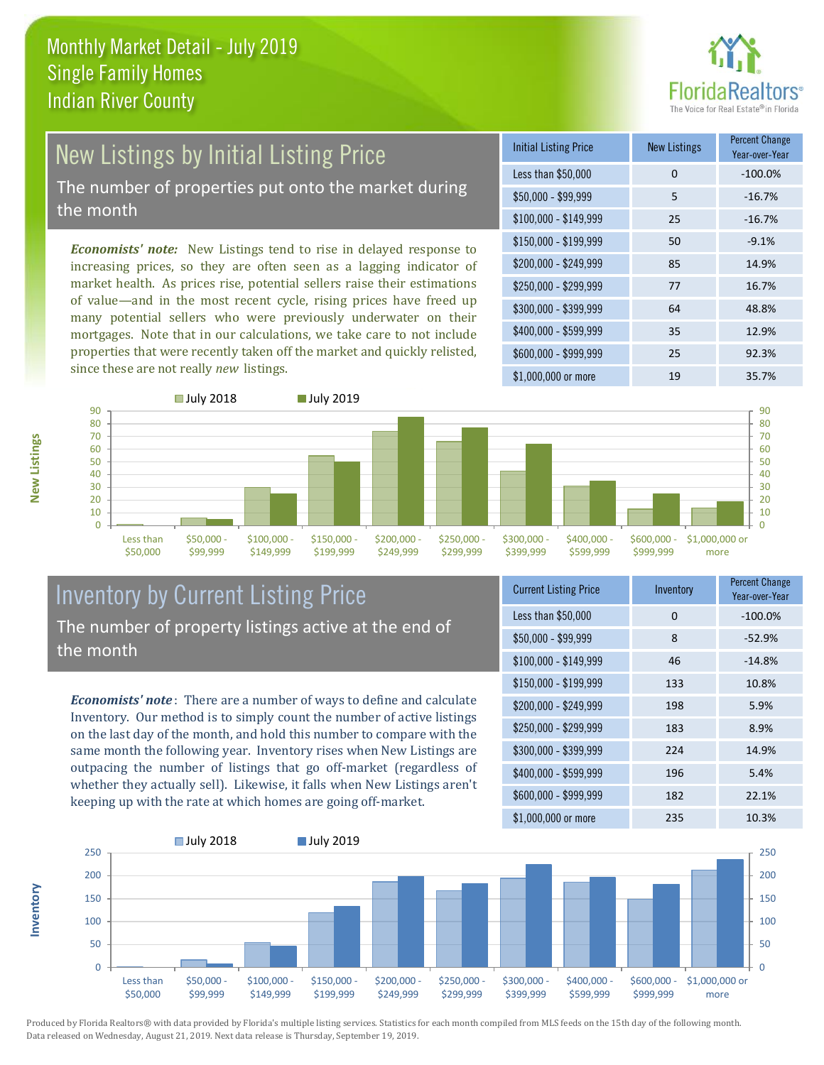

# New Listings by Initial Listing Price The number of properties put onto the market during

the month

*Economists' note:* New Listings tend to rise in delayed response to increasing prices, so they are often seen as a lagging indicator of market health. As prices rise, potential sellers raise their estimations of value—and in the most recent cycle, rising prices have freed up many potential sellers who were previously underwater on their mortgages. Note that in our calculations, we take care to not include properties that were recently taken off the market and quickly relisted, since these are not really *new* listings.

| <b>Initial Listing Price</b> | <b>New Listings</b> | <b>Percent Change</b><br>Year-over-Year |
|------------------------------|---------------------|-----------------------------------------|
| Less than \$50,000           | 0                   | $-100.0%$                               |
| $$50,000 - $99,999$          | 5                   | $-16.7%$                                |
| $$100,000 - $149,999$        | 25                  | $-16.7%$                                |
| $$150,000 - $199,999$        | 50                  | $-9.1%$                                 |
| \$200,000 - \$249,999        | 85                  | 14.9%                                   |
| \$250,000 - \$299,999        | 77                  | 16.7%                                   |
| \$300,000 - \$399,999        | 64                  | 48.8%                                   |
| \$400,000 - \$599,999        | 35                  | 12.9%                                   |
| \$600,000 - \$999,999        | 25                  | 92.3%                                   |
| \$1,000,000 or more          | 19                  | 35.7%                                   |



#### Inventory by Current Listing Price The number of property listings active at the end of the month

*Economists' note* : There are a number of ways to define and calculate Inventory. Our method is to simply count the number of active listings on the last day of the month, and hold this number to compare with the same month the following year. Inventory rises when New Listings are outpacing the number of listings that go off-market (regardless of whether they actually sell). Likewise, it falls when New Listings aren't keeping up with the rate at which homes are going off-market.

| <b>Current Listing Price</b> | Inventory | <b>Percent Change</b><br>Year-over-Year |
|------------------------------|-----------|-----------------------------------------|
| Less than \$50,000           | 0         | $-100.0%$                               |
| $$50,000 - $99,999$          | 8         | $-52.9%$                                |
| $$100,000 - $149,999$        | 46        | $-14.8%$                                |
| $$150,000 - $199,999$        | 133       | 10.8%                                   |
| \$200,000 - \$249,999        | 198       | 5.9%                                    |
| \$250,000 - \$299,999        | 183       | 8.9%                                    |
| \$300,000 - \$399,999        | 224       | 14.9%                                   |
| \$400,000 - \$599,999        | 196       | 5.4%                                    |
| \$600,000 - \$999,999        | 182       | 22.1%                                   |
| \$1,000,000 or more          | 235       | 10.3%                                   |



Produced by Florida Realtors® with data provided by Florida's multiple listing services. Statistics for each month compiled from MLS feeds on the 15th day of the following month. Data released on Wednesday, August 21, 2019. Next data release is Thursday, September 19, 2019.

**Inventory**